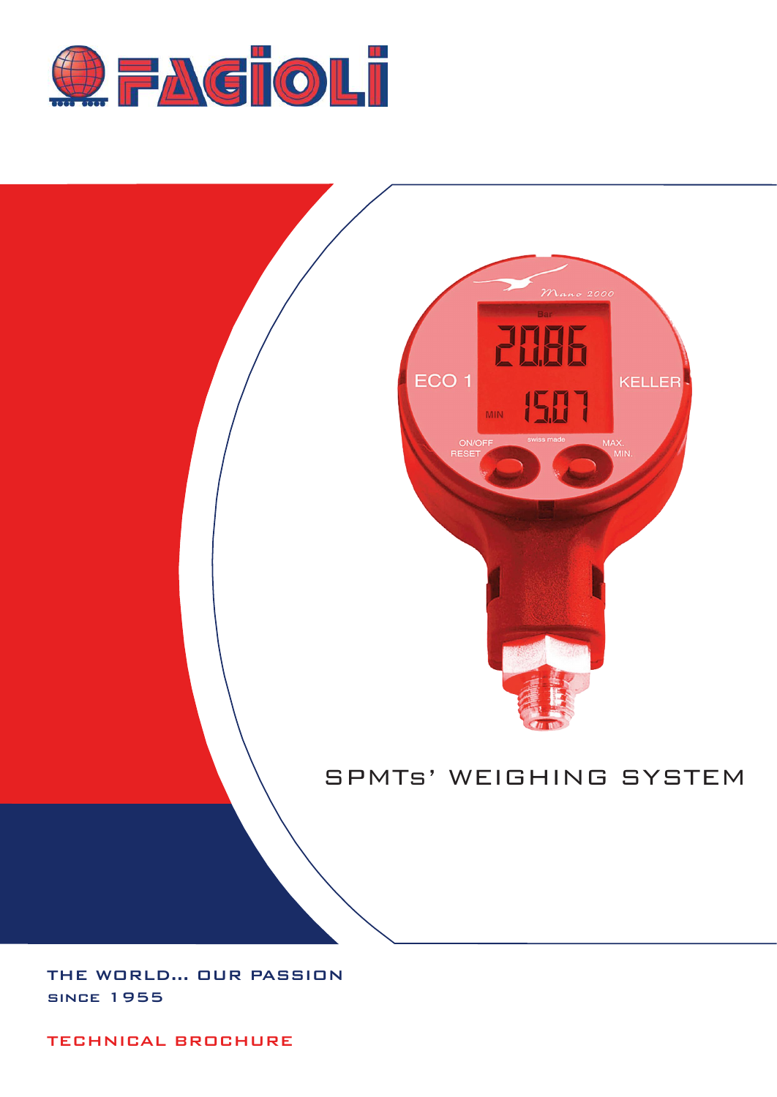



# SPMTs' WEIGHING SYSTEM

THE WORLD... OUR PASSION since 1955

TECHNICAL BROCHURE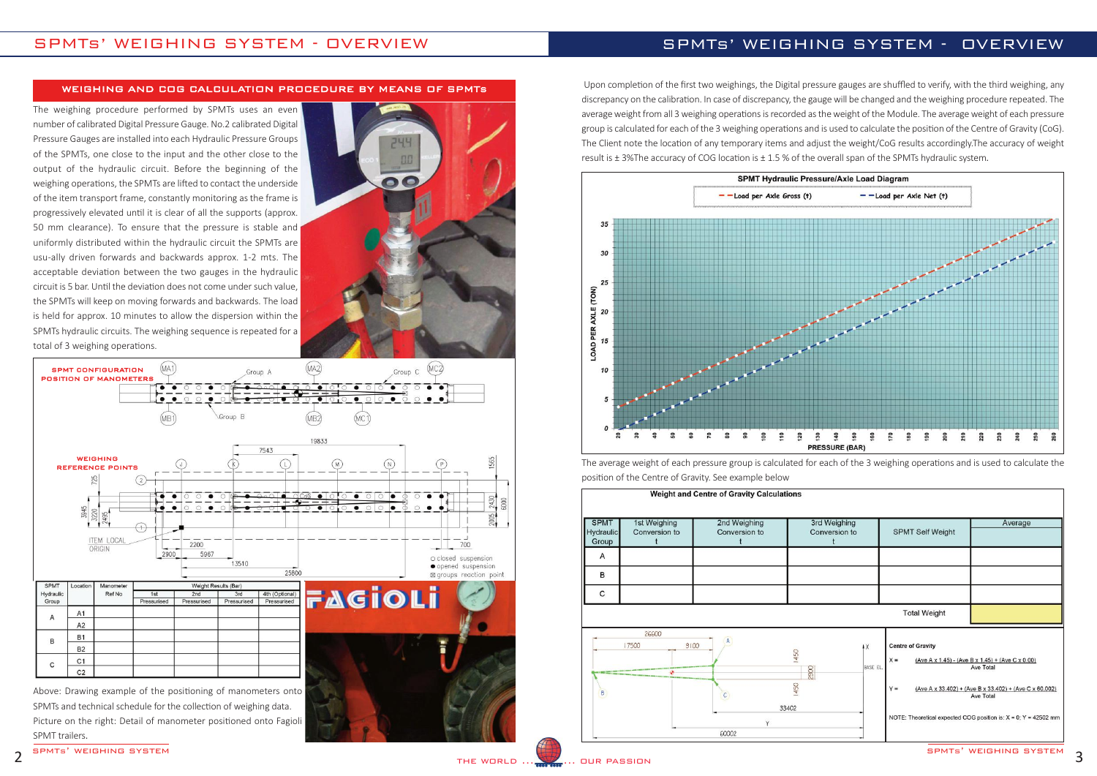### WEIGHING AND COG CALCULATION PROCEDURE BY MEANS OF SPMTs

## SPMTs' WEIGHING SYSTEM - OVERVIEW

The weighing procedure performed by SPMTs uses an even number of calibrated Digital Pressure Gauge. No.2 calibrated Digital Pressure Gauges are installed into each Hydraulic Pressure Groups of the SPMTs, one close to the input and the other close to the output of the hydraulic circuit. Before the beginning of the weighing operations, the SPMTs are lifted to contact the underside of the item transport frame, constantly monitoring as the frame is progressively elevated until it is clear of all the supports (approx. 50 mm clearance). To ensure that the pressure is stable and uniformly distributed within the hydraulic circuit the SPMTs are usu‐ally driven forwards and backwards approx. 1‐2 mts. The acceptable deviation between the two gauges in the hydraulic circuit is 5 bar. Until the deviation does not come under such value, the SPMTs will keep on moving forwards and backwards. The load is held for approx. 10 minutes to allow the dispersion within the SPMTs hydraulic circuits. The weighing sequence is repeated for a total of 3 weighing operations.





SPMTs and technical schedule for the collection of weighing data. Picture on the right: Detail of manometer positioned onto Fagioli SPMT trailers.

SURFALL SOFT STATES IN THE WORLD ...

## SPMTs' WEIGHING SYSTEM - OVERVIEW

| Hydraulic<br>Group | 1st Weighing<br>Conversion to | 2nd Weighing<br>Conversion to | 3rd Weighing<br>Conversion to               | <b>SPMT Self Weight</b>                               | Average                                                                                                                                                                                                        |
|--------------------|-------------------------------|-------------------------------|---------------------------------------------|-------------------------------------------------------|----------------------------------------------------------------------------------------------------------------------------------------------------------------------------------------------------------------|
| Α                  |                               |                               |                                             |                                                       |                                                                                                                                                                                                                |
| B                  |                               |                               |                                             |                                                       |                                                                                                                                                                                                                |
| C                  |                               |                               |                                             |                                                       |                                                                                                                                                                                                                |
|                    |                               |                               |                                             | <b>Total Weight</b>                                   |                                                                                                                                                                                                                |
| $\beta$            | 26600<br>9100<br>17500        | $\mathcal{C}$                 | $\sqrt{X}$<br>1450<br>2900<br>1450<br>33402 | <b>Centre of Gravity</b><br>$X =$<br>BASE EL<br>$Y =$ | (Ave A x 1.45) - (Ave B x 1.45) + (Ave C x 0.00)<br>Ave Total<br>$(Ave A x 33.402) + (Ave B x 33.402) + (Ave C x 60.002)$<br>Ave Total<br>NOTE: Theoretical expected COG position is: $X = 0$ ; $Y = 42502$ mm |



Upon completion of the first two weighings, the Digital pressure gauges are shuffled to verify, with the third weighing, any discrepancy on the calibration. In case of discrepancy, the gauge will be changed and the weighing procedure repeated. The average weight from all 3 weighing operations is recorded as the weight of the Module. The average weight of each pressure group is calculated for each of the 3 weighing operations and is used to calculate the position of the Centre of Gravity (CoG). The Client note the location of any temporary items and adjust the weight/CoG results accordingly.The accuracy of weight result is ± 3%The accuracy of COG location is ± 1.5 % of the overall span of the SPMTs hydraulic system.



The average weight of each pressure group is calculated for each of the 3 weighing operations and is used to calculate the

position of the Centre of Gravity. See example below